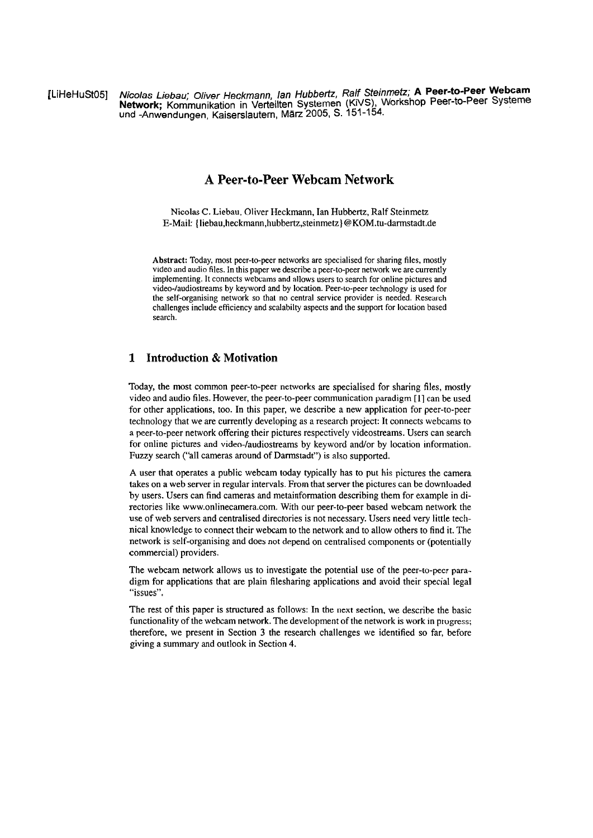[LiHeHuStO5] **Nicolas Liebau; Oliver Heckmann, /an Hubbedz, Ralf Steinmetz; A Peer-to-Peer Webcam Network;** Kommunikation in Verteilten Systemen (KiVS), Workshop Peer-to-Peer Systeme und -Anwendungen, Kaiserslautern, März 2005, S. 151-154.

# **A Peer-to-Peer Webcam Network**

Nicolas *C.* Liebau, Oliver Heckmann, Ian Hubbertz, Ralf Steinmetz E-Mail: **{liebau,heckmann,hubbertz,steinmetz)** @KOM.tu-darmstadt.de

**Abstract:** Today, most peer-to-peer networks are specialised for sharing files, mostly video and audio files. In this paper we describe a peer-to-peer network we are currently implementing. It connects webcams and allows users to search for online pictures and video-Jaudiostreams by keyword and by location. Peer-10-peer technology is used for the self-organising network so that no centtal service provider is needed. Research challenges include efficiency and scalabilty aspects and the Support for location based search.

## **1 Introduction** & **Motivation**

Today, the most common peer-to-peer networks are specialised for sharing files, mostly video and audio files. However, the peer-to-peer cornmunication paradigm [l] can be used for other applications, too. In this paper, we describe a new application for peer-to-peer technology that we are currently developing as a research project: It connects webcams to a peer-to-peer network offering their pictures respectively videostreams. Users can search for online pictures and video-/audiostreams by keyword and/or by location information. Fuzzy search ("all cameras around of Damstadt") is also supported.

**A** User that operates a public webcam today typically has to put his pictures the camera takes on a web server in regular intervals. From that server the pictures can be downloaded by users. Users can find cameras and metainformation describing them for example in directories like www.onlinecamera.com. With our peer-to-peer based webcam network the use of web servers and centralised directories is not necessary. Users need very little technical knowledge to connect their webcam to the network and to allow others to find it. The network is self-organising and does not depend on centralised components or (potentially commercial) providers.

The webcam network allows us to investigate the potential use of the peer-to-peer paradigm for applications that are plain filesharing applications and avoid their special legal "issues".

The rest of this paper is structured as follows: In the next section, we describe the basic functionality of the webcam network. The development of the network is work in progress; therefore, we present in Section **3** the research challenges we identified so far, before giving a Summary and outlook in Section 4.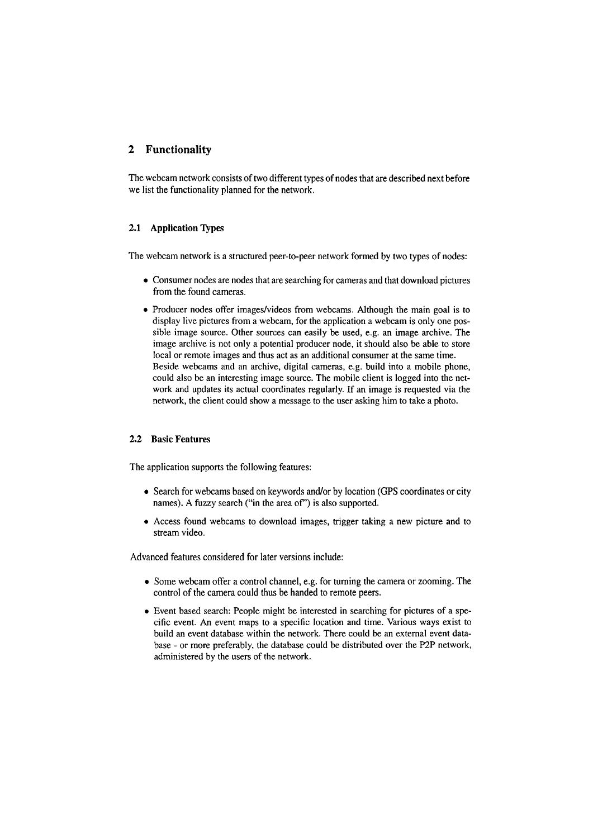# **2 Functionality**

The webcam network consists of two different types of nodes that are described next before we list the functionality planned for the network.

### **2.1 Application Types**

The webcam network is a stmctured peer-to-peer network formed by two types of nodes:

- Consumer nodes are nodes that are searching for cameras and that download pictures from the found cameras.
- Producer nodes offer images/videos from webcams. Although the main goal is to display live pictures from a webcam, for the application a webcam is only one possible image source. Other sources can easily **be** used, e.g. an irnage archive. The image archive is not only a potential producer node, it should also be able to store local or remote images and thus act as an additional consumer at the same time. Beside webcams and an archive, digital cameras, e.g. build into a mobile phone, could also be an interesting image source. The mobile client is logged into the network and updates its actual coordinates regularly. If an image is requested via the network, the client could show a message to the user asking him to take a photo.

#### **2.2 Basic Features**

The application supports the following features:

- Search for webcams based on keywords and/or by location (GPS coordinates or city names). A fuzzy search ("in the area of") is also supported.
- Access found webcams to download images, trigger taking a new picture and to stream video.

Advanced features considered for later versions include:

- Some webcam offer a control channel, e.g. for tuming the camera or zooming. The control of the camera could thus be handed to remote peers.
- Event based search: People might be interested in searching for pictures of a specific event. An event maps to a specific location and time. Various ways exist to build an event database within the network. There could be an extemal event database - or more preferably, the database could be distributed over the P2P network, administered by the users of the network.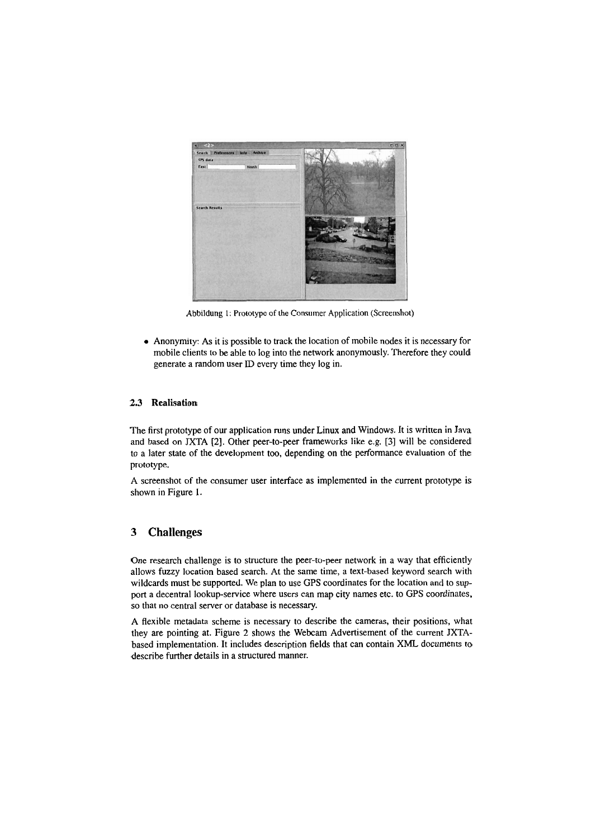

Abbildung I: Prototype of the Consumer Application (Screenshot)

Anonyrnity: As it is possible to track the location of mobile nodes it is necessary for mobile clients to be able to log into the network anonymously. Therefore they could generate a random User **ID** every time they log in.

## **2.3 Realisation**

The first prototype of our application runs under Linux and Windows. It is written in Java and based on JXTA **[2].** Other peer-to-peer frameworks like e.g. **[3]** will be considered to a later state of the development too, depending on the performance evaluation of the prototype.

A screenshot of the consumer user interface as implemented in the current prototype is shown in Figure 1.

# **3 Challenges**

One research challenge is to structure the peer-to-peer network in a way that efficiently allows fuzzy location based search. At the Same time, a text-based keyword search with wildcards must be supported. We plan to use GPS coordinates for the location and to support a decentral lookup-service where users can map city names etc. to GPS coordinates, so that no central server or database is necessary.

A flexible metadata scheme is necessary to describe the cameras, their positions, what they are pointing at. Figure **2** shows the Webcam Advertisement of the current JXTAbased implementation. It includes description fields that can contain XML documents to describe further details in a structured manner.